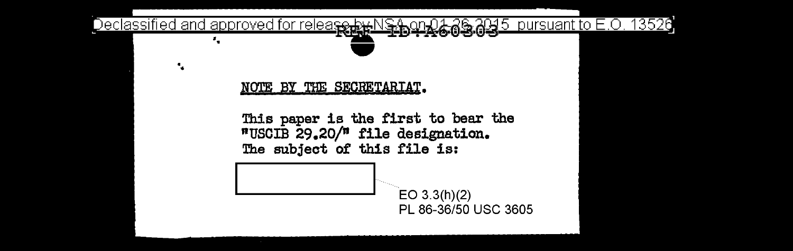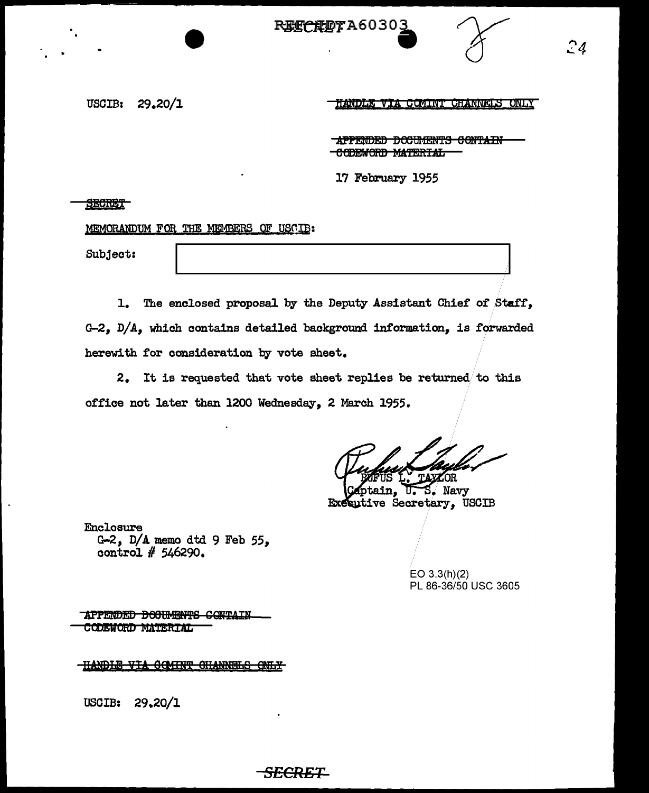**REECEET A60303** 



HANDLE VIA COMINT CHANNELS ONLY

APPENDED DOCUMENTS CONTAIN CODEWORD MATERIAL

17 February 1955

SECRET

MEMORANDUM FOR THE MEMBERS OF USCIB:

Subject:

1. The enclosed proposal by the Deputy Assistant Chief of Staff, G-2,  $D/A$ , which contains detailed background information, is forwarded herewith for consideration by vote sheet.

2. It is requested that vote sheet replies be returned/to this office not later than 1200 Wednesday, 2 Mareh 1955.

*SECRET* 

pt: IS Complete Complete Complete Complete Complete Complete Complete Complete Complete Complete Complete Complete Complete Complete Complete Complete Complete Complete Complete Complete Complete Complete Complete Complete

**Executive Secretary, USCIB** 

Enclosure G-2, D/A memo dtd 9 Feb *55,*  control # 546290.

> EO 3.3(h)(2) PL 86-36/50 USC 3605

APPENDED DOOUMENTS CONTAIN CODEWORD MATERIAL

**THANDLE VIA COMINT CHANNELS ONLY** 

USCIB: 29.20/l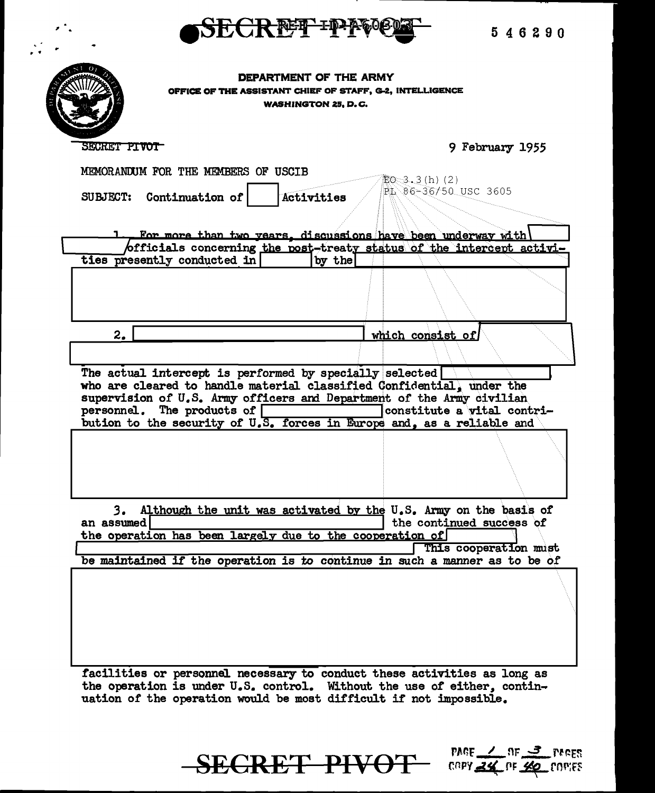

546290

DEPARTMENT OF THE ARMY OFFICE OF THE ASSISTANT CHIEF OF STAFF, G-2, INTELLIGENCE **WASHINGTON 25, D.C.** 

SECRET PIVOT

9 February 1955

 $PAGE \sim TF \sim J$  reces

- COPY 24 OF 40 COPIES

MEMORANDUM FOR THE MEMBERS OF USCIB  $E_0 = 3.3(h) (2)$ PL 86-36/50 USC 3605 Activities SUBJECT: Continuation of For more than two years, discussions have been underway with officials concerning the post-treaty status of the intercept activities presently conducted in by the  $2.$ which consist of The actual intercept is performed by specially selected who are cleared to handle material classified Confidential, under the supervision of U.S. Army officers and Department of the Army civilian personnel. The products of constitute a vital contribution to the security of U.S. forces in Europe and, as a reliable and 3. Although the unit was activated by the U.S. Army on the basis of the continued success of an assumed the operation has been largely due to the cooperation of This cooperation must be maintained if the operation is to continue in such a manner as to be of

facilities or personnel necessary to conduct these activities as long as the operation is under U.S. control. Without the use of either, continuation of the operation would be most difficult if not impossible.

**SECRET PIVOT**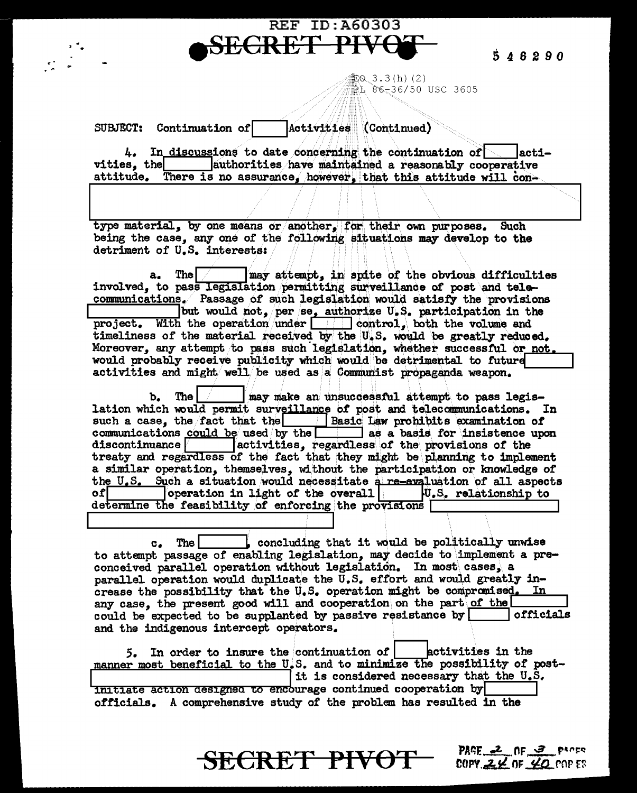546290

PAGE 2 NF 3 PACE

COPY  $2\not\in$  OF  $40$  cop ES

iii: 0、3 . 3 (h) (2) ⊉ኒ 86–36/50 USC 3605

Activities (Continued) SUBJECT: Continuation of

**SECRET** 

 $4.$  In discussions to date concerning the continuation of lacti vities, the authorities have maintained a reasonably cooperative attitude. There is no assurance, however, that this attitude will con-

**REF ID: A60303** 

type material, by one means or another, for their own purposes. Such being the case, any one of the following situations may develop to the detriment of U.S. interests:

may attempt, in spite of the obvious difficulties **The**  $\mathbf{a}$ . involved, to pass legislation permitting surveillance of post and telecommunications. Passage of such legislation would satisfy the provisions but would not, per se, authorize U.S. participation in the With the operation under  $\boxed{\qquad}$  control, both the volume and project. timeliness of the material received by the U.S. would be greatly reduced. Moreover, any attempt to pass such legislation, whether successful or not. would probably receive publicity which would be detrimental to future activities and might well be used as a Communist propaganda weapon.

 $\mathbf{b}_{\bullet}$  $The  $\sim$$ may make an unsuccessful attempt to pass legislation which would permit surveillance of post and telecommunications. In such a case, the fact that the Basic Law prohibits examination of communications could be used by the  $\Box$  as a basis for insistence upon activities, regardless of the provisions of the  $discontinuance$ treaty and regardless of the fact that they might be planning to implement a similar operation, themselves, without the participation or knowledge of the U.S. Such a situation would necessitate a re-evaluation of all aspects of contraction in light of the overall  $\begin{array}{|l|l|}\n\hline\n\end{array}$  U.S. relationship to determine the feasibility of enforcing the provisions [

concluding that it would be politically unwise The I  $c_{\star}$ to attempt passage of enabling legislation, may decide to implement a preconceived parallel operation without legislation. In most cases, a parallel operation would duplicate the U.S. effort and would greatly increase the possibility that the U.S. operation might be compromised. In any case, the present good will and cooperation on the part of the could be expected to be supplanted by passive resistance by officials and the indigenous intercept operators.

5. In order to insure the continuation of | betivities in the manner most beneficial to the U.S. and to minimize the possibility of postit is considered necessary that the U.S. initiate action designed to encourage continued cooperation by officials. A comprehensive study of the problem has resulted in the

**SECRET PIVOT**